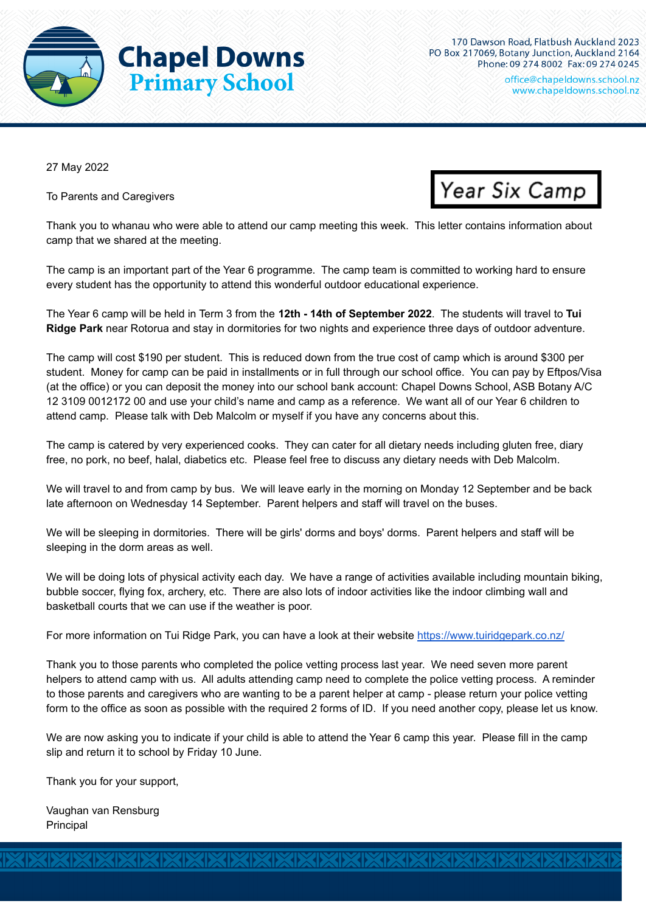

office@chapeIdowns.school.nz www.chapeldowns.school.nz

27 May 2022

To Parents and Caregivers



Thank you to whanau who were able to attend our camp meeting this week. This letter contains information about camp that we shared at the meeting.

The camp is an important part of the Year 6 programme. The camp team is committed to working hard to ensure every student has the opportunity to attend this wonderful outdoor educational experience.

The Year 6 camp will be held in Term 3 from the **12th - 14th of September 2022**. The students will travel to **Tui Ridge Park** near Rotorua and stay in dormitories for two nights and experience three days of outdoor adventure.

The camp will cost \$190 per student. This is reduced down from the true cost of camp which is around \$300 per student. Money for camp can be paid in installments or in full through our school office. You can pay by Eftpos/Visa (at the office) or you can deposit the money into our school bank account: Chapel Downs School, ASB Botany A/C 12 3109 0012172 00 and use your child's name and camp as a reference. We want all of our Year 6 children to attend camp. Please talk with Deb Malcolm or myself if you have any concerns about this.

The camp is catered by very experienced cooks. They can cater for all dietary needs including gluten free, diary free, no pork, no beef, halal, diabetics etc. Please feel free to discuss any dietary needs with Deb Malcolm.

We will travel to and from camp by bus. We will leave early in the morning on Monday 12 September and be back late afternoon on Wednesday 14 September. Parent helpers and staff will travel on the buses.

We will be sleeping in dormitories. There will be girls' dorms and boys' dorms. Parent helpers and staff will be sleeping in the dorm areas as well.

We will be doing lots of physical activity each day. We have a range of activities available including mountain biking, bubble soccer, flying fox, archery, etc. There are also lots of indoor activities like the indoor climbing wall and basketball courts that we can use if the weather is poor.

For more information on Tui Ridge Park, you can have a look at their website <https://www.tuiridgepark.co.nz/>

Thank you to those parents who completed the police vetting process last year. We need seven more parent helpers to attend camp with us. All adults attending camp need to complete the police vetting process. A reminder to those parents and caregivers who are wanting to be a parent helper at camp - please return your police vetting form to the office as soon as possible with the required 2 forms of ID. If you need another copy, please let us know.

We are now asking you to indicate if your child is able to attend the Year 6 camp this year. Please fill in the camp slip and return it to school by Friday 10 June.

XIXIXIXIXIXIXIXIXIXIXIXIXIXI

Thank you for your support,

Vaughan van Rensburg Principal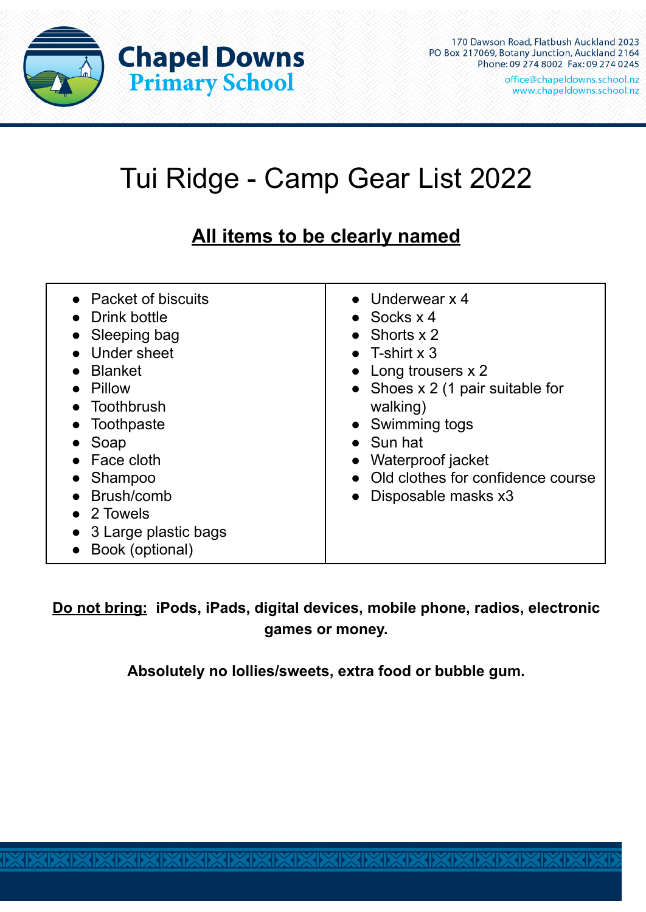

170 Dawson Road, Flatbush Auckland 2023 PO Box 217069, Botany Junction, Auckland 2164 Phone: 09 274 8002 Fax: 09 274 0245

office@chapeIdowns.school.nz www.chapeldowns.school.nz

## Tui Ridge - Camp Gear List 2022

## **All items to be clearly named**

| • Packet of biscuits<br>Drink bottle<br>Sleeping bag<br>Under sheet<br><b>Blanket</b><br>Pillow<br>Toothbrush<br>Toothpaste<br>Soap<br><b>Face cloth</b><br>Shampoo<br>Brush/comb<br>$\bullet$ 2 Towels<br>3 Large plastic bags<br>Book (optional) | $\bullet$ Underwear x 4<br>$\bullet$ Socks $\times$ 4<br>• Shorts $x$ 2<br>• T-shirt $x$ 3<br>• Long trousers x 2<br>• Shoes $x \, 2$ (1 pair suitable for<br>walking)<br>• Swimming togs<br>$\bullet$ Sun hat<br>Waterproof jacket<br>• Old clothes for confidence course<br>• Disposable masks x3 |
|----------------------------------------------------------------------------------------------------------------------------------------------------------------------------------------------------------------------------------------------------|-----------------------------------------------------------------------------------------------------------------------------------------------------------------------------------------------------------------------------------------------------------------------------------------------------|
|----------------------------------------------------------------------------------------------------------------------------------------------------------------------------------------------------------------------------------------------------|-----------------------------------------------------------------------------------------------------------------------------------------------------------------------------------------------------------------------------------------------------------------------------------------------------|

**Do not bring: iPods, iPads, digital devices, mobile phone, radios, electronic games or money.**

**Absolutely no lollies/sweets, extra food or bubble gum.**